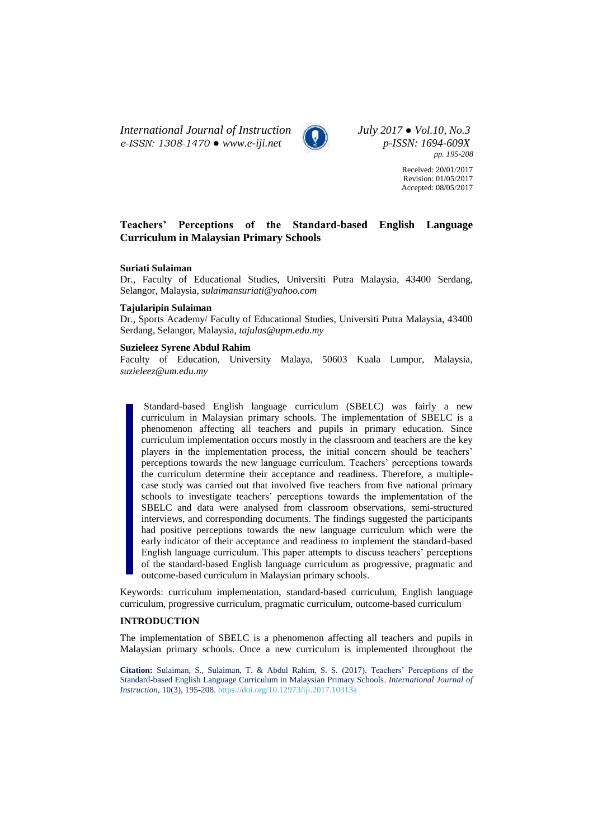*International Journal of Instruction July 2017 ● Vol.10, No.3 e-ISSN: 1308-1470 ● [www.e-iji.net](http://www.e-iji.net/) p-ISSN: 1694-609X*



*pp. 195-208*

Received: 20/01/2017 Revision: 01/05/2017 Accepted: 08/05/2017

# **Teachers' Perceptions of the Standard-based English Language Curriculum in Malaysian Primary Schools**

### **Suriati Sulaiman**

Dr., Faculty of Educational Studies, Universiti Putra Malaysia, 43400 Serdang, Selangor, Malaysia, *sulaimansuriati@yahoo.com*

#### **Tajularipin Sulaiman**

Dr., Sports Academy/ Faculty of Educational Studies, Universiti Putra Malaysia, 43400 Serdang, Selangor, Malaysia, *[tajulas@upm.edu.my](mailto:tajulas@upm.edu.my)*

### **Suzieleez Syrene Abdul Rahim**

Faculty of Education, University Malaya, 50603 Kuala Lumpur, Malaysia, *suzieleez@um.edu.my*

Standard-based English language curriculum (SBELC) was fairly a new curriculum in Malaysian primary schools. The implementation of SBELC is a phenomenon affecting all teachers and pupils in primary education. Since curriculum implementation occurs mostly in the classroom and teachers are the key players in the implementation process, the initial concern should be teachers' perceptions towards the new language curriculum. Teachers' perceptions towards the curriculum determine their acceptance and readiness. Therefore, a multiplecase study was carried out that involved five teachers from five national primary schools to investigate teachers' perceptions towards the implementation of the SBELC and data were analysed from classroom observations, semi-structured interviews, and corresponding documents. The findings suggested the participants had positive perceptions towards the new language curriculum which were the early indicator of their acceptance and readiness to implement the standard-based English language curriculum. This paper attempts to discuss teachers' perceptions of the standard-based English language curriculum as progressive, pragmatic and outcome-based curriculum in Malaysian primary schools.

Keywords: curriculum implementation, standard-based curriculum, English language curriculum, progressive curriculum, pragmatic curriculum, outcome-based curriculum

# **INTRODUCTION**

The implementation of SBELC is a phenomenon affecting all teachers and pupils in Malaysian primary schools. Once a new curriculum is implemented throughout the

**Citation:** Sulaiman, S., Sulaiman, T. & Abdul Rahim, S. S. (2017). Teachers' Perceptions of the Standard-based English Language Curriculum in Malaysian Primary Schools. *International Journal of Instruction*, 10(3), 195-208. <https://doi.org/10.12973/iji.2017.10313a>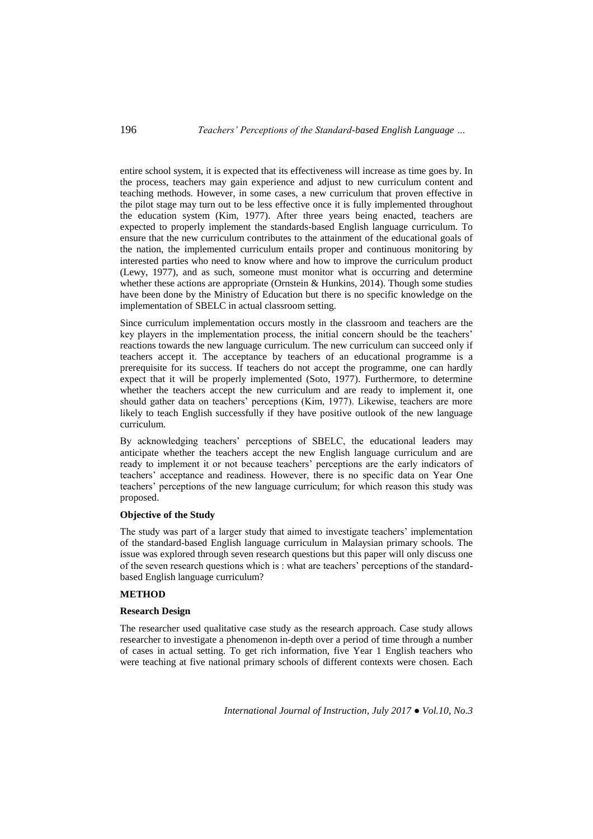entire school system, it is expected that its effectiveness will increase as time goes by. In the process, teachers may gain experience and adjust to new curriculum content and teaching methods. However, in some cases, a new curriculum that proven effective in the pilot stage may turn out to be less effective once it is fully implemented throughout the education system (Kim, 1977). After three years being enacted, teachers are expected to properly implement the standards-based English language curriculum. To ensure that the new curriculum contributes to the attainment of the educational goals of the nation, the implemented curriculum entails proper and continuous monitoring by interested parties who need to know where and how to improve the curriculum product (Lewy, 1977), and as such, someone must monitor what is occurring and determine whether these actions are appropriate (Ornstein & Hunkins, 2014). Though some studies have been done by the Ministry of Education but there is no specific knowledge on the implementation of SBELC in actual classroom setting.

Since curriculum implementation occurs mostly in the classroom and teachers are the key players in the implementation process, the initial concern should be the teachers' reactions towards the new language curriculum. The new curriculum can succeed only if teachers accept it. The acceptance by teachers of an educational programme is a prerequisite for its success. If teachers do not accept the programme, one can hardly expect that it will be properly implemented (Soto, 1977). Furthermore, to determine whether the teachers accept the new curriculum and are ready to implement it, one should gather data on teachers' perceptions (Kim, 1977). Likewise, teachers are more likely to teach English successfully if they have positive outlook of the new language curriculum.

By acknowledging teachers' perceptions of SBELC, the educational leaders may anticipate whether the teachers accept the new English language curriculum and are ready to implement it or not because teachers' perceptions are the early indicators of teachers' acceptance and readiness. However, there is no specific data on Year One teachers' perceptions of the new language curriculum; for which reason this study was proposed.

# **Objective of the Study**

The study was part of a larger study that aimed to investigate teachers' implementation of the standard-based English language curriculum in Malaysian primary schools. The issue was explored through seven research questions but this paper will only discuss one of the seven research questions which is : what are teachers' perceptions of the standardbased English language curriculum?

#### **METHOD**

#### **Research Design**

The researcher used qualitative case study as the research approach. Case study allows researcher to investigate a phenomenon in-depth over a period of time through a number of cases in actual setting. To get rich information, five Year 1 English teachers who were teaching at five national primary schools of different contexts were chosen. Each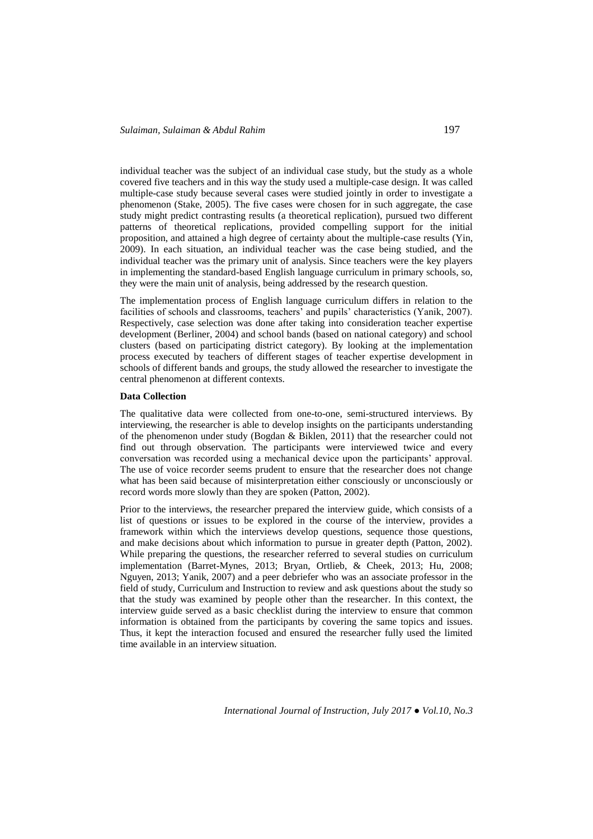individual teacher was the subject of an individual case study, but the study as a whole covered five teachers and in this way the study used a multiple-case design. It was called multiple-case study because several cases were studied jointly in order to investigate a phenomenon (Stake, 2005). The five cases were chosen for in such aggregate, the case study might predict contrasting results (a theoretical replication), pursued two different patterns of theoretical replications, provided compelling support for the initial proposition, and attained a high degree of certainty about the multiple-case results (Yin, 2009). In each situation, an individual teacher was the case being studied, and the individual teacher was the primary unit of analysis. Since teachers were the key players in implementing the standard-based English language curriculum in primary schools, so, they were the main unit of analysis, being addressed by the research question.

The implementation process of English language curriculum differs in relation to the facilities of schools and classrooms, teachers' and pupils' characteristics (Yanik, 2007). Respectively, case selection was done after taking into consideration teacher expertise development (Berliner, 2004) and school bands (based on national category) and school clusters (based on participating district category). By looking at the implementation process executed by teachers of different stages of teacher expertise development in schools of different bands and groups, the study allowed the researcher to investigate the central phenomenon at different contexts.

#### **Data Collection**

The qualitative data were collected from one-to-one, semi-structured interviews. By interviewing, the researcher is able to develop insights on the participants understanding of the phenomenon under study (Bogdan & Biklen, 2011) that the researcher could not find out through observation. The participants were interviewed twice and every conversation was recorded using a mechanical device upon the participants' approval. The use of voice recorder seems prudent to ensure that the researcher does not change what has been said because of misinterpretation either consciously or unconsciously or record words more slowly than they are spoken (Patton, 2002).

Prior to the interviews, the researcher prepared the interview guide, which consists of a list of questions or issues to be explored in the course of the interview, provides a framework within which the interviews develop questions, sequence those questions, and make decisions about which information to pursue in greater depth (Patton, 2002). While preparing the questions, the researcher referred to several studies on curriculum implementation (Barret-Mynes, 2013; Bryan, Ortlieb, & Cheek, 2013; Hu, 2008; Nguyen, 2013; Yanik, 2007) and a peer debriefer who was an associate professor in the field of study, Curriculum and Instruction to review and ask questions about the study so that the study was examined by people other than the researcher. In this context, the interview guide served as a basic checklist during the interview to ensure that common information is obtained from the participants by covering the same topics and issues. Thus, it kept the interaction focused and ensured the researcher fully used the limited time available in an interview situation.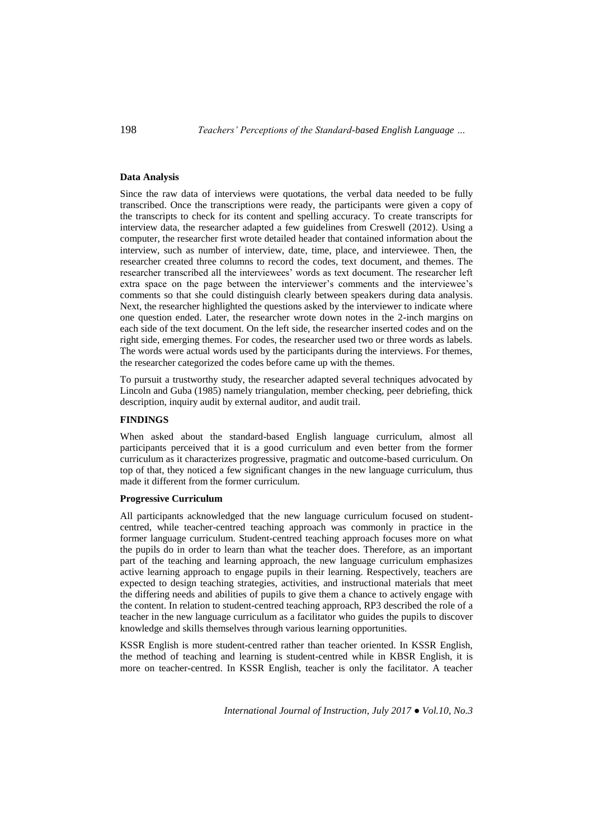### **Data Analysis**

Since the raw data of interviews were quotations, the verbal data needed to be fully transcribed. Once the transcriptions were ready, the participants were given a copy of the transcripts to check for its content and spelling accuracy. To create transcripts for interview data, the researcher adapted a few guidelines from Creswell (2012). Using a computer, the researcher first wrote detailed header that contained information about the interview, such as number of interview, date, time, place, and interviewee. Then, the researcher created three columns to record the codes, text document, and themes. The researcher transcribed all the interviewees' words as text document. The researcher left extra space on the page between the interviewer's comments and the interviewee's comments so that she could distinguish clearly between speakers during data analysis. Next, the researcher highlighted the questions asked by the interviewer to indicate where one question ended. Later, the researcher wrote down notes in the 2-inch margins on each side of the text document. On the left side, the researcher inserted codes and on the right side, emerging themes. For codes, the researcher used two or three words as labels. The words were actual words used by the participants during the interviews. For themes, the researcher categorized the codes before came up with the themes.

To pursuit a trustworthy study, the researcher adapted several techniques advocated by Lincoln and Guba (1985) namely triangulation, member checking, peer debriefing, thick description, inquiry audit by external auditor, and audit trail.

# **FINDINGS**

When asked about the standard-based English language curriculum, almost all participants perceived that it is a good curriculum and even better from the former curriculum as it characterizes progressive, pragmatic and outcome-based curriculum. On top of that, they noticed a few significant changes in the new language curriculum, thus made it different from the former curriculum.

### **Progressive Curriculum**

All participants acknowledged that the new language curriculum focused on studentcentred, while teacher-centred teaching approach was commonly in practice in the former language curriculum. Student-centred teaching approach focuses more on what the pupils do in order to learn than what the teacher does. Therefore, as an important part of the teaching and learning approach, the new language curriculum emphasizes active learning approach to engage pupils in their learning. Respectively, teachers are expected to design teaching strategies, activities, and instructional materials that meet the differing needs and abilities of pupils to give them a chance to actively engage with the content. In relation to student-centred teaching approach, RP3 described the role of a teacher in the new language curriculum as a facilitator who guides the pupils to discover knowledge and skills themselves through various learning opportunities.

KSSR English is more student-centred rather than teacher oriented. In KSSR English, the method of teaching and learning is student-centred while in KBSR English, it is more on teacher-centred. In KSSR English, teacher is only the facilitator. A teacher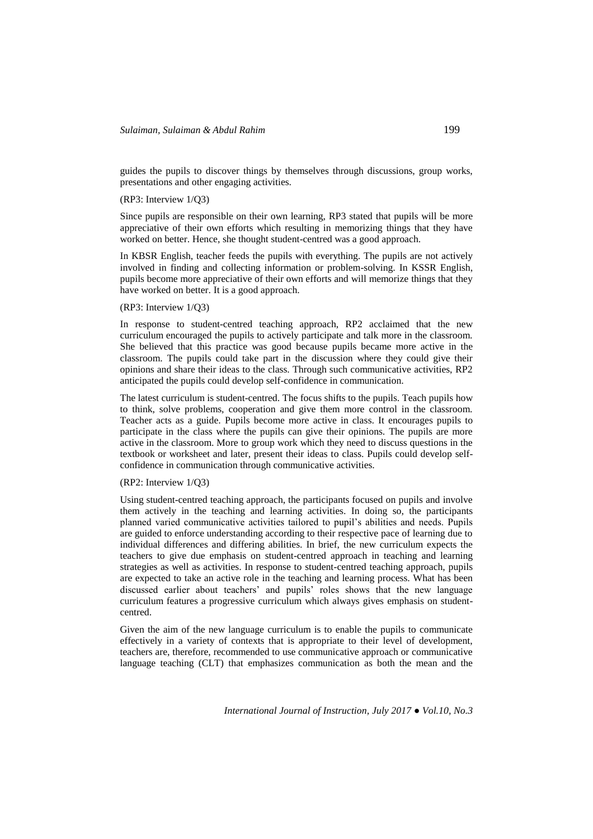guides the pupils to discover things by themselves through discussions, group works, presentations and other engaging activities.

### (RP3: Interview 1/Q3)

Since pupils are responsible on their own learning, RP3 stated that pupils will be more appreciative of their own efforts which resulting in memorizing things that they have worked on better. Hence, she thought student-centred was a good approach.

In KBSR English, teacher feeds the pupils with everything. The pupils are not actively involved in finding and collecting information or problem-solving. In KSSR English, pupils become more appreciative of their own efforts and will memorize things that they have worked on better. It is a good approach.

#### (RP3: Interview 1/Q3)

In response to student-centred teaching approach, RP2 acclaimed that the new curriculum encouraged the pupils to actively participate and talk more in the classroom. She believed that this practice was good because pupils became more active in the classroom. The pupils could take part in the discussion where they could give their opinions and share their ideas to the class. Through such communicative activities, RP2 anticipated the pupils could develop self-confidence in communication.

The latest curriculum is student-centred. The focus shifts to the pupils. Teach pupils how to think, solve problems, cooperation and give them more control in the classroom. Teacher acts as a guide. Pupils become more active in class. It encourages pupils to participate in the class where the pupils can give their opinions. The pupils are more active in the classroom. More to group work which they need to discuss questions in the textbook or worksheet and later, present their ideas to class. Pupils could develop selfconfidence in communication through communicative activities.

#### (RP2: Interview 1/Q3)

Using student-centred teaching approach, the participants focused on pupils and involve them actively in the teaching and learning activities. In doing so, the participants planned varied communicative activities tailored to pupil's abilities and needs. Pupils are guided to enforce understanding according to their respective pace of learning due to individual differences and differing abilities. In brief, the new curriculum expects the teachers to give due emphasis on student-centred approach in teaching and learning strategies as well as activities. In response to student-centred teaching approach, pupils are expected to take an active role in the teaching and learning process. What has been discussed earlier about teachers' and pupils' roles shows that the new language curriculum features a progressive curriculum which always gives emphasis on studentcentred.

Given the aim of the new language curriculum is to enable the pupils to communicate effectively in a variety of contexts that is appropriate to their level of development, teachers are, therefore, recommended to use communicative approach or communicative language teaching (CLT) that emphasizes communication as both the mean and the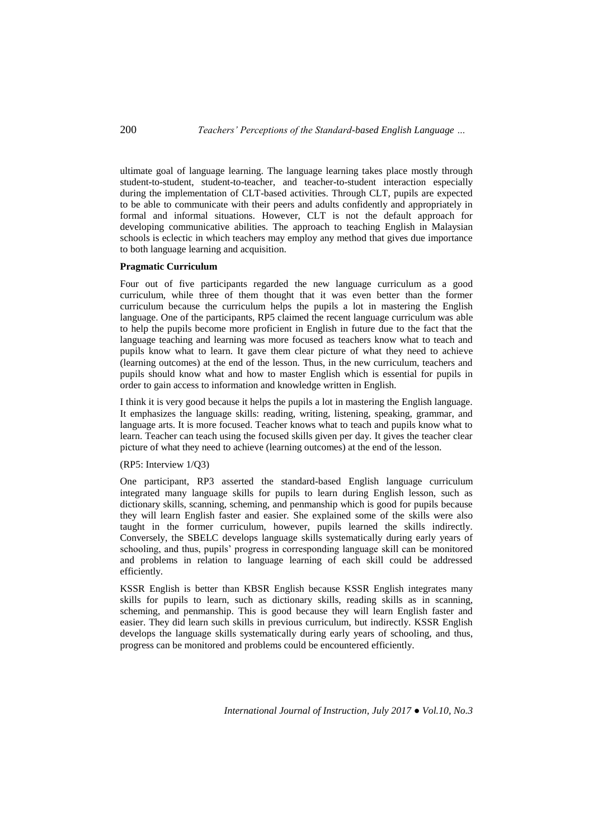ultimate goal of language learning. The language learning takes place mostly through student-to-student, student-to-teacher, and teacher-to-student interaction especially during the implementation of CLT-based activities. Through CLT, pupils are expected to be able to communicate with their peers and adults confidently and appropriately in formal and informal situations. However, CLT is not the default approach for developing communicative abilities. The approach to teaching English in Malaysian schools is eclectic in which teachers may employ any method that gives due importance to both language learning and acquisition.

#### **Pragmatic Curriculum**

Four out of five participants regarded the new language curriculum as a good curriculum, while three of them thought that it was even better than the former curriculum because the curriculum helps the pupils a lot in mastering the English language. One of the participants, RP5 claimed the recent language curriculum was able to help the pupils become more proficient in English in future due to the fact that the language teaching and learning was more focused as teachers know what to teach and pupils know what to learn. It gave them clear picture of what they need to achieve (learning outcomes) at the end of the lesson. Thus, in the new curriculum, teachers and pupils should know what and how to master English which is essential for pupils in order to gain access to information and knowledge written in English.

I think it is very good because it helps the pupils a lot in mastering the English language. It emphasizes the language skills: reading, writing, listening, speaking, grammar, and language arts. It is more focused. Teacher knows what to teach and pupils know what to learn. Teacher can teach using the focused skills given per day. It gives the teacher clear picture of what they need to achieve (learning outcomes) at the end of the lesson.

# (RP5: Interview 1/Q3)

One participant, RP3 asserted the standard-based English language curriculum integrated many language skills for pupils to learn during English lesson, such as dictionary skills, scanning, scheming, and penmanship which is good for pupils because they will learn English faster and easier. She explained some of the skills were also taught in the former curriculum, however, pupils learned the skills indirectly. Conversely, the SBELC develops language skills systematically during early years of schooling, and thus, pupils' progress in corresponding language skill can be monitored and problems in relation to language learning of each skill could be addressed efficiently.

KSSR English is better than KBSR English because KSSR English integrates many skills for pupils to learn, such as dictionary skills, reading skills as in scanning, scheming, and penmanship. This is good because they will learn English faster and easier. They did learn such skills in previous curriculum, but indirectly. KSSR English develops the language skills systematically during early years of schooling, and thus, progress can be monitored and problems could be encountered efficiently.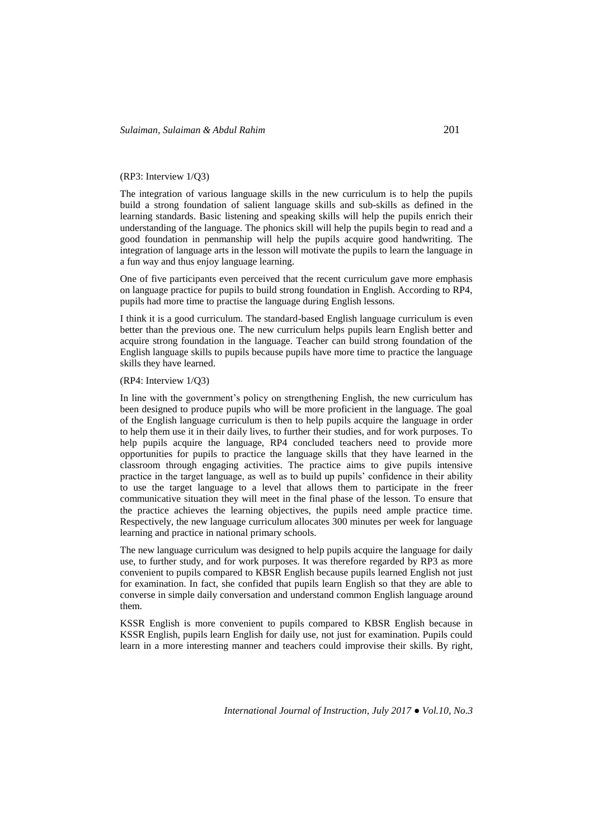#### (RP3: Interview 1/Q3)

The integration of various language skills in the new curriculum is to help the pupils build a strong foundation of salient language skills and sub-skills as defined in the learning standards. Basic listening and speaking skills will help the pupils enrich their understanding of the language. The phonics skill will help the pupils begin to read and a good foundation in penmanship will help the pupils acquire good handwriting. The integration of language arts in the lesson will motivate the pupils to learn the language in a fun way and thus enjoy language learning.

One of five participants even perceived that the recent curriculum gave more emphasis on language practice for pupils to build strong foundation in English. According to RP4, pupils had more time to practise the language during English lessons.

I think it is a good curriculum. The standard-based English language curriculum is even better than the previous one. The new curriculum helps pupils learn English better and acquire strong foundation in the language. Teacher can build strong foundation of the English language skills to pupils because pupils have more time to practice the language skills they have learned.

#### (RP4: Interview 1/Q3)

In line with the government's policy on strengthening English, the new curriculum has been designed to produce pupils who will be more proficient in the language. The goal of the English language curriculum is then to help pupils acquire the language in order to help them use it in their daily lives, to further their studies, and for work purposes. To help pupils acquire the language, RP4 concluded teachers need to provide more opportunities for pupils to practice the language skills that they have learned in the classroom through engaging activities. The practice aims to give pupils intensive practice in the target language, as well as to build up pupils' confidence in their ability to use the target language to a level that allows them to participate in the freer communicative situation they will meet in the final phase of the lesson. To ensure that the practice achieves the learning objectives, the pupils need ample practice time. Respectively, the new language curriculum allocates 300 minutes per week for language learning and practice in national primary schools.

The new language curriculum was designed to help pupils acquire the language for daily use, to further study, and for work purposes. It was therefore regarded by RP3 as more convenient to pupils compared to KBSR English because pupils learned English not just for examination. In fact, she confided that pupils learn English so that they are able to converse in simple daily conversation and understand common English language around them.

KSSR English is more convenient to pupils compared to KBSR English because in KSSR English, pupils learn English for daily use, not just for examination. Pupils could learn in a more interesting manner and teachers could improvise their skills. By right,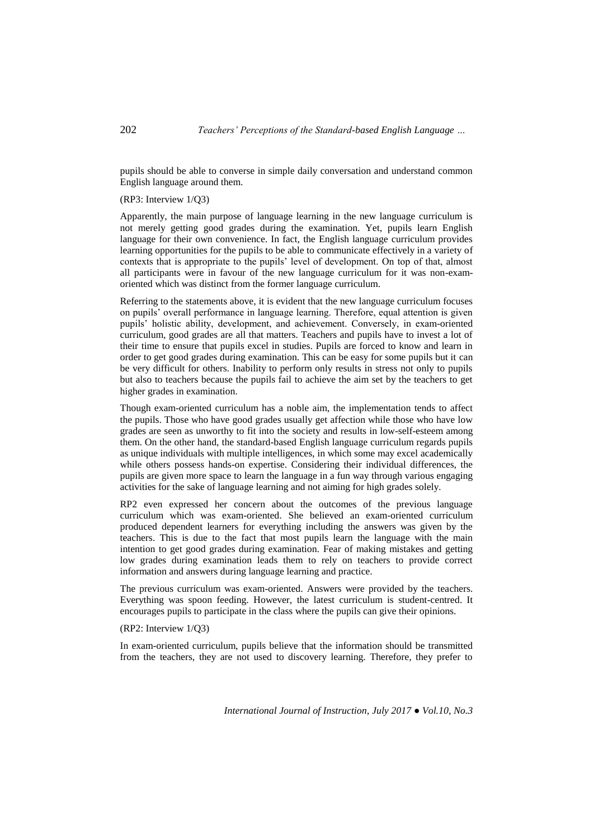pupils should be able to converse in simple daily conversation and understand common English language around them.

### (RP3: Interview 1/Q3)

Apparently, the main purpose of language learning in the new language curriculum is not merely getting good grades during the examination. Yet, pupils learn English language for their own convenience. In fact, the English language curriculum provides learning opportunities for the pupils to be able to communicate effectively in a variety of contexts that is appropriate to the pupils' level of development. On top of that, almost all participants were in favour of the new language curriculum for it was non-examoriented which was distinct from the former language curriculum.

Referring to the statements above, it is evident that the new language curriculum focuses on pupils' overall performance in language learning. Therefore, equal attention is given pupils' holistic ability, development, and achievement. Conversely, in exam-oriented curriculum, good grades are all that matters. Teachers and pupils have to invest a lot of their time to ensure that pupils excel in studies. Pupils are forced to know and learn in order to get good grades during examination. This can be easy for some pupils but it can be very difficult for others. Inability to perform only results in stress not only to pupils but also to teachers because the pupils fail to achieve the aim set by the teachers to get higher grades in examination.

Though exam-oriented curriculum has a noble aim, the implementation tends to affect the pupils. Those who have good grades usually get affection while those who have low grades are seen as unworthy to fit into the society and results in low-self-esteem among them. On the other hand, the standard-based English language curriculum regards pupils as unique individuals with multiple intelligences, in which some may excel academically while others possess hands-on expertise. Considering their individual differences, the pupils are given more space to learn the language in a fun way through various engaging activities for the sake of language learning and not aiming for high grades solely.

RP2 even expressed her concern about the outcomes of the previous language curriculum which was exam-oriented. She believed an exam-oriented curriculum produced dependent learners for everything including the answers was given by the teachers. This is due to the fact that most pupils learn the language with the main intention to get good grades during examination. Fear of making mistakes and getting low grades during examination leads them to rely on teachers to provide correct information and answers during language learning and practice.

The previous curriculum was exam-oriented. Answers were provided by the teachers. Everything was spoon feeding. However, the latest curriculum is student-centred. It encourages pupils to participate in the class where the pupils can give their opinions.

# (RP2: Interview 1/Q3)

In exam-oriented curriculum, pupils believe that the information should be transmitted from the teachers, they are not used to discovery learning. Therefore, they prefer to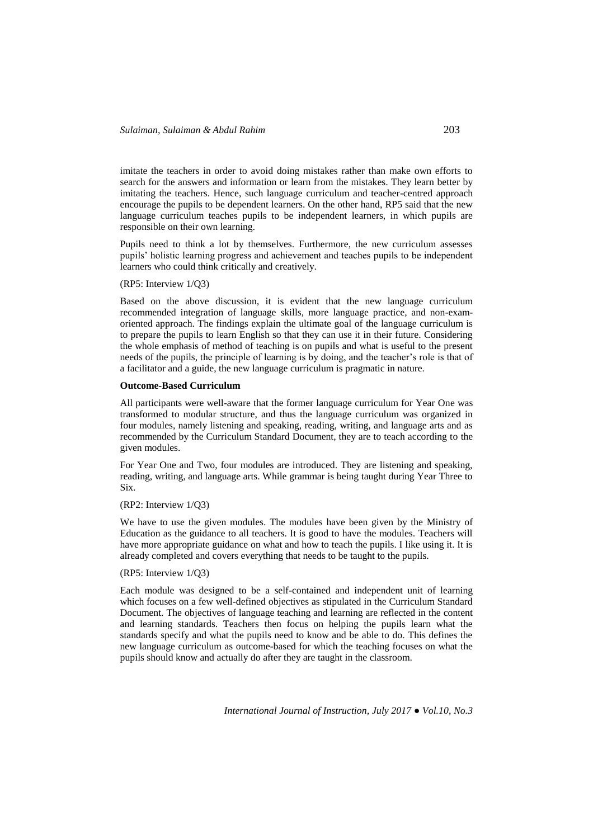imitate the teachers in order to avoid doing mistakes rather than make own efforts to search for the answers and information or learn from the mistakes. They learn better by imitating the teachers. Hence, such language curriculum and teacher-centred approach encourage the pupils to be dependent learners. On the other hand, RP5 said that the new language curriculum teaches pupils to be independent learners, in which pupils are responsible on their own learning.

Pupils need to think a lot by themselves. Furthermore, the new curriculum assesses pupils' holistic learning progress and achievement and teaches pupils to be independent learners who could think critically and creatively.

(RP5: Interview 1/Q3)

Based on the above discussion, it is evident that the new language curriculum recommended integration of language skills, more language practice, and non-examoriented approach. The findings explain the ultimate goal of the language curriculum is to prepare the pupils to learn English so that they can use it in their future. Considering the whole emphasis of method of teaching is on pupils and what is useful to the present needs of the pupils, the principle of learning is by doing, and the teacher's role is that of a facilitator and a guide, the new language curriculum is pragmatic in nature.

# **Outcome-Based Curriculum**

All participants were well-aware that the former language curriculum for Year One was transformed to modular structure, and thus the language curriculum was organized in four modules, namely listening and speaking, reading, writing, and language arts and as recommended by the Curriculum Standard Document, they are to teach according to the given modules.

For Year One and Two, four modules are introduced. They are listening and speaking, reading, writing, and language arts. While grammar is being taught during Year Three to Six.

#### (RP2: Interview 1/Q3)

We have to use the given modules. The modules have been given by the Ministry of Education as the guidance to all teachers. It is good to have the modules. Teachers will have more appropriate guidance on what and how to teach the pupils. I like using it. It is already completed and covers everything that needs to be taught to the pupils.

#### (RP5: Interview 1/Q3)

Each module was designed to be a self-contained and independent unit of learning which focuses on a few well-defined objectives as stipulated in the Curriculum Standard Document. The objectives of language teaching and learning are reflected in the content and learning standards. Teachers then focus on helping the pupils learn what the standards specify and what the pupils need to know and be able to do. This defines the new language curriculum as outcome-based for which the teaching focuses on what the pupils should know and actually do after they are taught in the classroom.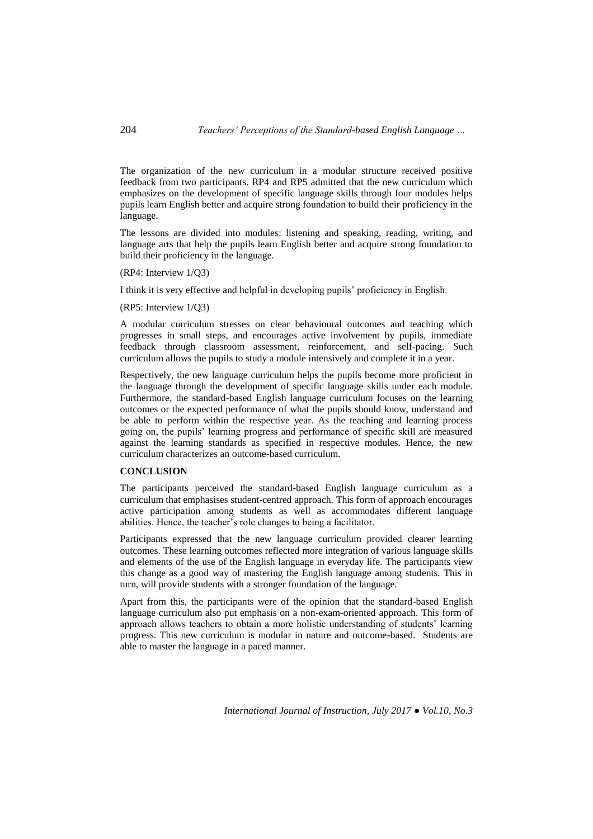# 204 *Teachers' Perceptions of the Standard-based English Language …*

The organization of the new curriculum in a modular structure received positive feedback from two participants. RP4 and RP5 admitted that the new curriculum which emphasizes on the development of specific language skills through four modules helps pupils learn English better and acquire strong foundation to build their proficiency in the language.

The lessons are divided into modules: listening and speaking, reading, writing, and language arts that help the pupils learn English better and acquire strong foundation to build their proficiency in the language.

(RP4: Interview 1/Q3)

I think it is very effective and helpful in developing pupils' proficiency in English.

(RP5: Interview 1/Q3)

A modular curriculum stresses on clear behavioural outcomes and teaching which progresses in small steps, and encourages active involvement by pupils, immediate feedback through classroom assessment, reinforcement, and self-pacing. Such curriculum allows the pupils to study a module intensively and complete it in a year.

Respectively, the new language curriculum helps the pupils become more proficient in the language through the development of specific language skills under each module. Furthermore, the standard-based English language curriculum focuses on the learning outcomes or the expected performance of what the pupils should know, understand and be able to perform within the respective year. As the teaching and learning process going on, the pupils' learning progress and performance of specific skill are measured against the learning standards as specified in respective modules. Hence, the new curriculum characterizes an outcome-based curriculum.

# **CONCLUSION**

The participants perceived the standard-based English language curriculum as a curriculum that emphasises student-centred approach. This form of approach encourages active participation among students as well as accommodates different language abilities. Hence, the teacher's role changes to being a facilitator.

Participants expressed that the new language curriculum provided clearer learning outcomes. These learning outcomes reflected more integration of various language skills and elements of the use of the English language in everyday life. The participants view this change as a good way of mastering the English language among students. This in turn, will provide students with a stronger foundation of the language.

Apart from this, the participants were of the opinion that the standard-based English language curriculum also put emphasis on a non-exam-oriented approach. This form of approach allows teachers to obtain a more holistic understanding of students' learning progress. This new curriculum is modular in nature and outcome-based. Students are able to master the language in a paced manner.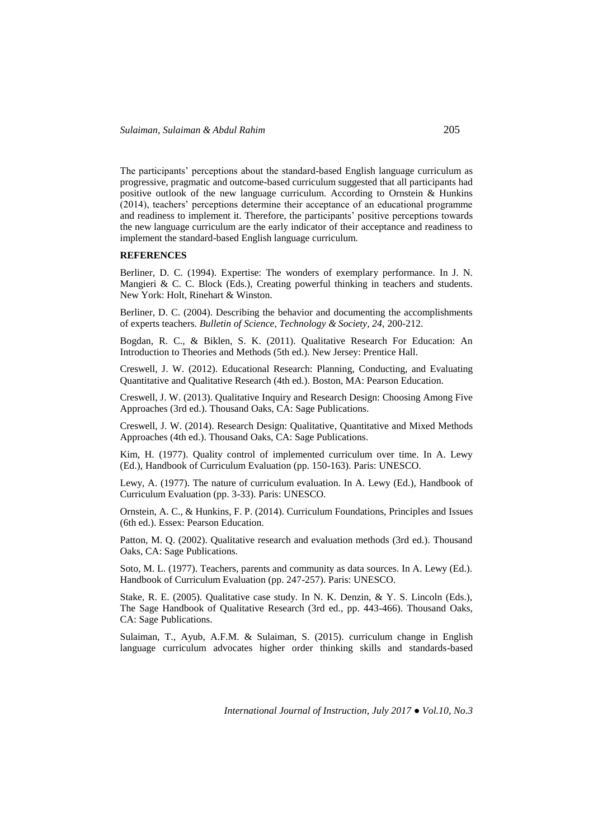The participants' perceptions about the standard-based English language curriculum as progressive, pragmatic and outcome-based curriculum suggested that all participants had positive outlook of the new language curriculum. According to Ornstein  $\&$  Hunkins (2014), teachers' perceptions determine their acceptance of an educational programme and readiness to implement it. Therefore, the participants' positive perceptions towards the new language curriculum are the early indicator of their acceptance and readiness to implement the standard-based English language curriculum.

## **REFERENCES**

Berliner, D. C. (1994). Expertise: The wonders of exemplary performance. In J. N. Mangieri & C. C. Block (Eds.), Creating powerful thinking in teachers and students. New York: Holt, Rinehart & Winston.

Berliner, D. C. (2004). Describing the behavior and documenting the accomplishments of experts teachers. *Bulletin of Science, Technology & Society, 24,* 200-212.

Bogdan, R. C., & Biklen, S. K. (2011). Qualitative Research For Education: An Introduction to Theories and Methods (5th ed.). New Jersey: Prentice Hall.

Creswell, J. W. (2012). Educational Research: Planning, Conducting, and Evaluating Quantitative and Qualitative Research (4th ed.). Boston, MA: Pearson Education.

Creswell, J. W. (2013). Qualitative Inquiry and Research Design: Choosing Among Five Approaches (3rd ed.). Thousand Oaks, CA: Sage Publications.

Creswell, J. W. (2014). Research Design: Qualitative, Quantitative and Mixed Methods Approaches (4th ed.). Thousand Oaks, CA: Sage Publications.

Kim, H. (1977). Quality control of implemented curriculum over time. In A. Lewy (Ed.), Handbook of Curriculum Evaluation (pp. 150-163). Paris: UNESCO.

Lewy, A. (1977). The nature of curriculum evaluation. In A. Lewy (Ed.), Handbook of Curriculum Evaluation (pp. 3-33). Paris: UNESCO.

Ornstein, A. C., & Hunkins, F. P. (2014). Curriculum Foundations, Principles and Issues (6th ed.). Essex: Pearson Education.

Patton, M. Q. (2002). Qualitative research and evaluation methods (3rd ed.). Thousand Oaks, CA: Sage Publications.

Soto, M. L. (1977). Teachers, parents and community as data sources. In A. Lewy (Ed.). Handbook of Curriculum Evaluation (pp. 247-257). Paris: UNESCO.

Stake, R. E. (2005). Qualitative case study. In N. K. Denzin, & Y. S. Lincoln (Eds.), The Sage Handbook of Qualitative Research (3rd ed., pp. 443-466). Thousand Oaks, CA: Sage Publications.

Sulaiman, T., Ayub, A.F.M. & Sulaiman, S. (2015). curriculum change in English language curriculum advocates higher order thinking skills and standards-based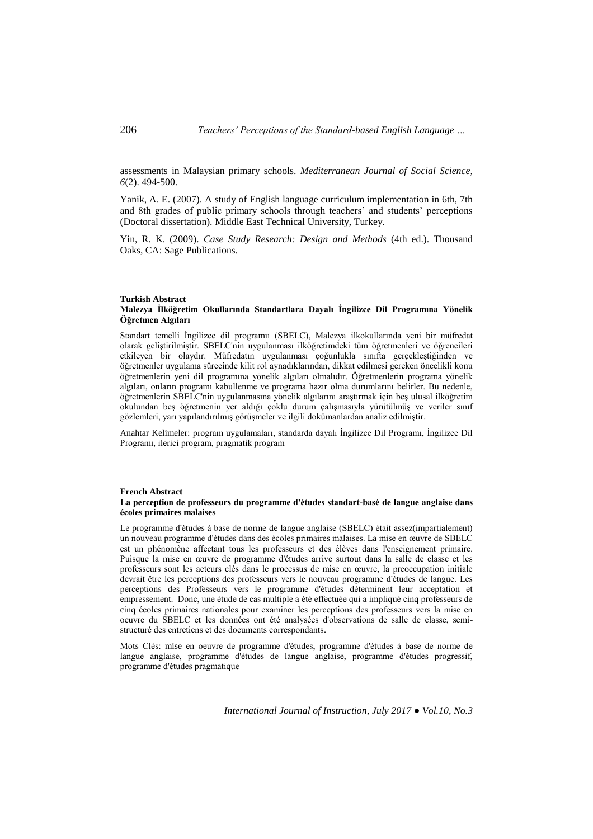assessments in Malaysian primary schools. *Mediterranean Journal of Social Science, 6*(2). 494-500.

Yanik, A. E. (2007). A study of English language curriculum implementation in 6th, 7th and 8th grades of public primary schools through teachers' and students' perceptions (Doctoral dissertation). Middle East Technical University, Turkey.

Yin, R. K. (2009). *Case Study Research: Design and Methods* (4th ed.). Thousand Oaks, CA: Sage Publications.

#### **Turkish Abstract Malezya İlköğretim Okullarında Standartlara Dayalı İngilizce Dil Programına Yönelik Öğretmen Algıları**

Standart temelli İngilizce dil programıı (SBELC), Malezya ilkokullarında yeni bir müfredat olarak geliştirilmiştir. SBELC'nin uygulanması ilköğretimdeki tüm öğretmenleri ve öğrencileri etkileyen bir olaydır. Müfredatın uygulanması çoğunlukla sınıfta gerçekleştiğinden ve öğretmenler uygulama sürecinde kilit rol aynadıklarından, dikkat edilmesi gereken öncelikli konu öğretmenlerin yeni dil programına yönelik algıları olmalıdır. Öğretmenlerin programa yönelik algıları, onların programı kabullenme ve programa hazır olma durumlarını belirler. Bu nedenle, öğretmenlerin SBELC'nin uygulanmasına yönelik algılarını araştırmak için beş ulusal ilköğretim okulundan beş öğretmenin yer aldığı çoklu durum çalışmasıyla yürütülmüş ve veriler sınıf gözlemleri, yarı yapılandırılmış görüşmeler ve ilgili dokümanlardan analiz edilmiştir.

Anahtar Kelimeler: program uygulamaları, standarda dayalı İngilizce Dil Programı, İngilizce Dil Programı, ilerici program, pragmatik program

#### **French Abstract La perception de professeurs du programme d'études standart-basé de langue anglaise dans écoles primaires malaises**

Le programme d'études à base de norme de langue anglaise (SBELC) était assez(impartialement) un nouveau programme d'études dans des écoles primaires malaises. La mise en œuvre de SBELC est un phénomène affectant tous les professeurs et des élèves dans l'enseignement primaire. Puisque la mise en œuvre de programme d'études arrive surtout dans la salle de classe et les professeurs sont les acteurs clés dans le processus de mise en œuvre, la preoccupation initiale devrait être les perceptions des professeurs vers le nouveau programme d'études de langue. Les perceptions des Professeurs vers le programme d'études déterminent leur acceptation et empressement. Donc, une étude de cas multiple a été effectuée qui a impliqué cinq professeurs de cinq écoles primaires nationales pour examiner les perceptions des professeurs vers la mise en oeuvre du SBELC et les données ont été analysées d'observations de salle de classe, semistructuré des entretiens et des documents correspondants.

Mots Clés: mise en oeuvre de programme d'études, programme d'études à base de norme de langue anglaise, programme d'études de langue anglaise, programme d'études progressif, programme d'études pragmatique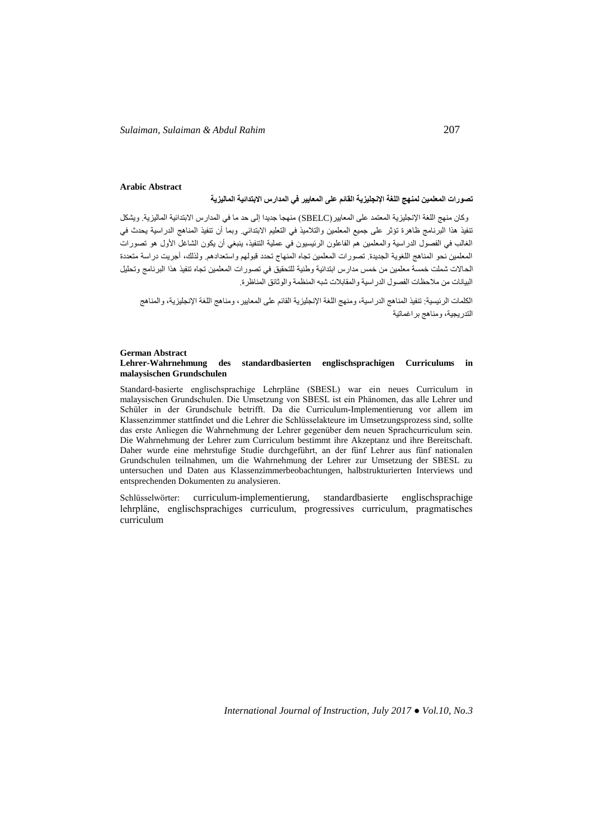#### **Arabic Abstract**

# **تصورات المعلمين لمنهج اللغة اإلنجليزية القائم على المعايير في المدارس االبتدائية الماليزية**

وكان منهج اللغة الإنجليزية المعتمد على المعايير (SBELC) منهجا جديدا إلى حد ما في المدارس الابتدائية الماليزية. ويشكل تنفيذ هذا البرنامج ظاهرة تؤثر على جميع المعلمين والتلاميذ في التعليم الابتدائي. وبما أن تنفيذ المناهج الدراسية يحدث في الغالب في الفصول الدراسية والمعلمين هم الفاعلون الرئيسيون في عملية التنفيذ، ينبغي أن يكون الشاغل األول هو تصورات المعلمين نحو المناهج اللغوية الجديدة. تصورات المعلمين تجاه المنهاج تحدد قبولهم واستعدادهم. ولذلك، أجريت دراسة متعددة الحاالت شملت خمسة معلمين من خمس مدارس ابتدائية وطنية للتحقيق في تصورات المعلمين تجاه تنفيذ هذا البرنامج وتحليل البيانات من مالحظات الفصول الدراسية والمقابالت شبه المنظمة والوثائق المناظرة.

الكلمات الرئيسية: تنفيذ المناهج الدراسية، ومنهج اللغة اإلنجليزية القائم على المعايير، ومناهج اللغة اإلنجليزية، والمناهج التدريجية، ومناهج براغماتية

#### **German Abstract Lehrer-Wahrnehmung des standardbasierten englischsprachigen Curriculums in malaysischen Grundschulen**

Standard-basierte englischsprachige Lehrpläne (SBESL) war ein neues Curriculum in malaysischen Grundschulen. Die Umsetzung von SBESL ist ein Phänomen, das alle Lehrer und Schüler in der Grundschule betrifft. Da die Curriculum-Implementierung vor allem im Klassenzimmer stattfindet und die Lehrer die Schlüsselakteure im Umsetzungsprozess sind, sollte das erste Anliegen die Wahrnehmung der Lehrer gegenüber dem neuen Sprachcurriculum sein. Die Wahrnehmung der Lehrer zum Curriculum bestimmt ihre Akzeptanz und ihre Bereitschaft. Daher wurde eine mehrstufige Studie durchgeführt, an der fünf Lehrer aus fünf nationalen Grundschulen teilnahmen, um die Wahrnehmung der Lehrer zur Umsetzung der SBESL zu untersuchen und Daten aus Klassenzimmerbeobachtungen, halbstrukturierten Interviews und entsprechenden Dokumenten zu analysieren.

Schlüsselwörter: curriculum-implementierung, standardbasierte englischsprachige lehrpläne, englischsprachiges curriculum, progressives curriculum, pragmatisches curriculum